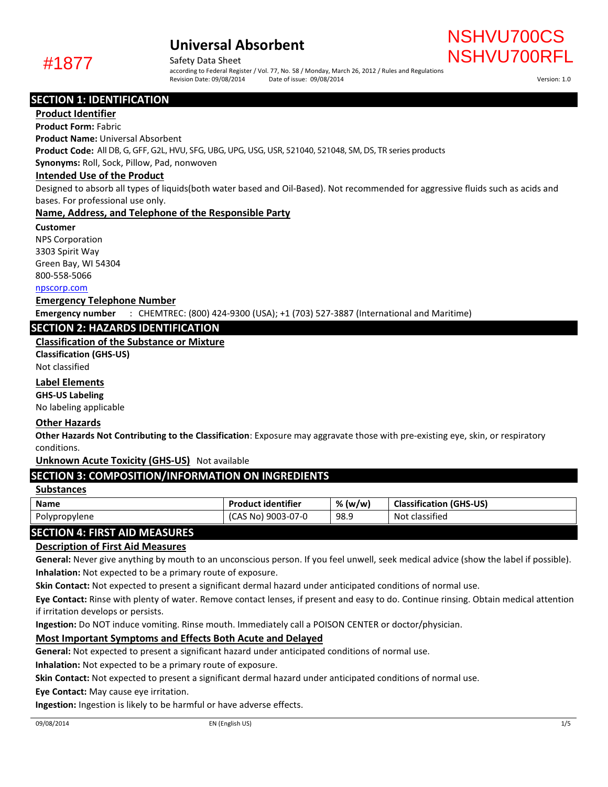#### Safety Data Sheet

 $\#1877$  Safety Data Sheet<br>according to Federal Register / Vol. 77, No. 58 / Monday, March 26, 2012 / Rules and Regulations<br>according to Federal Register / Vol. 77, No. 58 / Monday, March 26, 2012 / Rules and Regulations Revision Date: 09/08/2014 Date of issue: 09/08/2014 Date of issue: 09/08/2014

NSHVU700CS

# SECTION 1: IDENTIFICATION

# Product Identifier

Product Form: Fabric

Product Name: Universal Absorbent

Product Code: All DB, G, GFF, G2L, HVU, SFG, UBG, UPG, USG, USR, 521040, 521048, SM, DS, TR series products

Synonyms: Roll, Sock, Pillow, Pad, nonwoven

### Intended Use of the Product

Designed to absorb all types of liquids(both water based and Oil-Based). Not recommended for aggressive fluids such as acids and bases. For professional use only.

# Name, Address, and Telephone of the Responsible Party

Customer NPS Corporation

3303 Spirit Way Green Bay, WI 54304 800-558-5066

### [npscorp.com](http://www.npscorp.com/)

Emergency Telephone Number

Emergency number : CHEMTREC: (800) 424-9300 (USA); +1 (703) 527-3887 (International and Maritime)

# SECTION 2: HAZARDS IDENTIFICATION

# Classification of the Substance or Mixture

Classification (GHS-US) Not classified

# Label Elements

GHS-US Labeling

No labeling applicable

# Other Hazards

Other Hazards Not Contributing to the Classification: Exposure may aggravate those with pre-existing eye, skin, or respiratory conditions.

**Unknown Acute Toxicity (GHS-US)** Not available

# SECTION 3: COMPOSITION/INFORMATION ON INGREDIENTS

#### Substances

| <b>Name</b>   | <b>Product identifier</b> | $%$ (w/w) | <b>Classification (GHS-US)</b> |
|---------------|---------------------------|-----------|--------------------------------|
| Polypropylene | (CAS No) 9003-07-0        | 98.9      | Not classified                 |
|               |                           |           |                                |

# SECTION 4: FIRST AID MEASURES

# Description of First Aid Measures

General: Never give anything by mouth to an unconscious person. If you feel unwell, seek medical advice (show the label if possible). Inhalation: Not expected to be a primary route of exposure.

Skin Contact: Not expected to present a significant dermal hazard under anticipated conditions of normal use.

Eye Contact: Rinse with plenty of water. Remove contact lenses, if present and easy to do. Continue rinsing. Obtain medical attention if irritation develops or persists.

Ingestion: Do NOT induce vomiting. Rinse mouth. Immediately call a POISON CENTER or doctor/physician.

# Most Important Symptoms and Effects Both Acute and Delayed

General: Not expected to present a significant hazard under anticipated conditions of normal use.

Inhalation: Not expected to be a primary route of exposure.

Skin Contact: Not expected to present a significant dermal hazard under anticipated conditions of normal use.

Eye Contact: May cause eye irritation.

Ingestion: Ingestion is likely to be harmful or have adverse effects.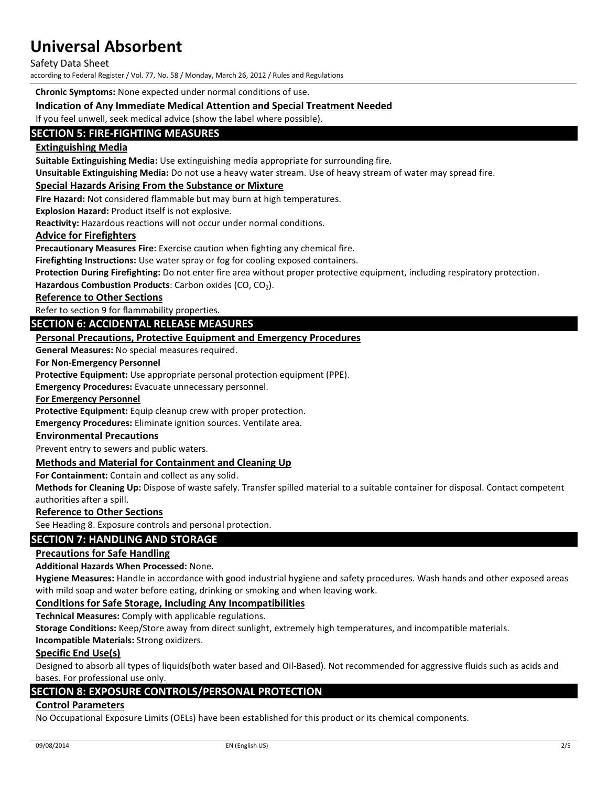Safety Data Sheet

according to Federal Register / Vol. 77, No. 58 / Monday, March 26, 2012 / Rules and Regulations

Chronic Symptoms: None expected under normal conditions of use.

# Indication of Any Immediate Medical Attention and Special Treatment Needed

If you feel unwell, seek medical advice (show the label where possible).

# SECTION 5: FIRE-FIGHTING MEASURES

# Extinguishing Media

Suitable Extinguishing Media: Use extinguishing media appropriate for surrounding fire.

Unsuitable Extinguishing Media: Do not use a heavy water stream. Use of heavy stream of water may spread fire.

#### Special Hazards Arising From the Substance or Mixture

Fire Hazard: Not considered flammable but may burn at high temperatures.

Explosion Hazard: Product itself is not explosive.

Reactivity: Hazardous reactions will not occur under normal conditions.

#### Advice for Firefighters

Precautionary Measures Fire: Exercise caution when fighting any chemical fire.

Firefighting Instructions: Use water spray or fog for cooling exposed containers.

Protection During Firefighting: Do not enter fire area without proper protective equipment, including respiratory protection.

Hazardous Combustion Products: Carbon oxides (CO,  $CO<sub>2</sub>$ ).

Reference to Other Sections

Refer to section 9 for flammability properties.

#### SECTION 6: ACCIDENTAL RELEASE MEASURES

#### Personal Precautions, Protective Equipment and Emergency Procedures

General Measures: No special measures required.

#### For Non-Emergency Personnel

Protective Equipment: Use appropriate personal protection equipment (PPE).

Emergency Procedures: Evacuate unnecessary personnel.

#### For Emergency Personnel

Protective Equipment: Equip cleanup crew with proper protection.

Emergency Procedures: Eliminate ignition sources. Ventilate area.

#### Environmental Precautions

Prevent entry to sewers and public waters.

#### Methods and Material for Containment and Cleaning Up

For Containment: Contain and collect as any solid.

Methods for Cleaning Up: Dispose of waste safely. Transfer spilled material to a suitable container for disposal. Contact competent authorities after a spill.

#### Reference to Other Sections

See Heading 8. Exposure controls and personal protection.

# SECTION 7: HANDLING AND STORAGE

#### Precautions for Safe Handling

Additional Hazards When Processed: None.

Hygiene Measures: Handle in accordance with good industrial hygiene and safety procedures. Wash hands and other exposed areas with mild soap and water before eating, drinking or smoking and when leaving work.

#### Conditions for Safe Storage, Including Any Incompatibilities

Technical Measures: Comply with applicable regulations.

Storage Conditions: Keep/Store away from direct sunlight, extremely high temperatures, and incompatible materials.

Incompatible Materials: Strong oxidizers.

#### Specific End Use(s)

Designed to absorb all types of liquids(both water based and Oil-Based). Not recommended for aggressive fluids such as acids and bases. For professional use only.

# SECTION 8: EXPOSURE CONTROLS/PERSONAL PROTECTION

#### Control Parameters

No Occupational Exposure Limits (OELs) have been established for this product or its chemical components.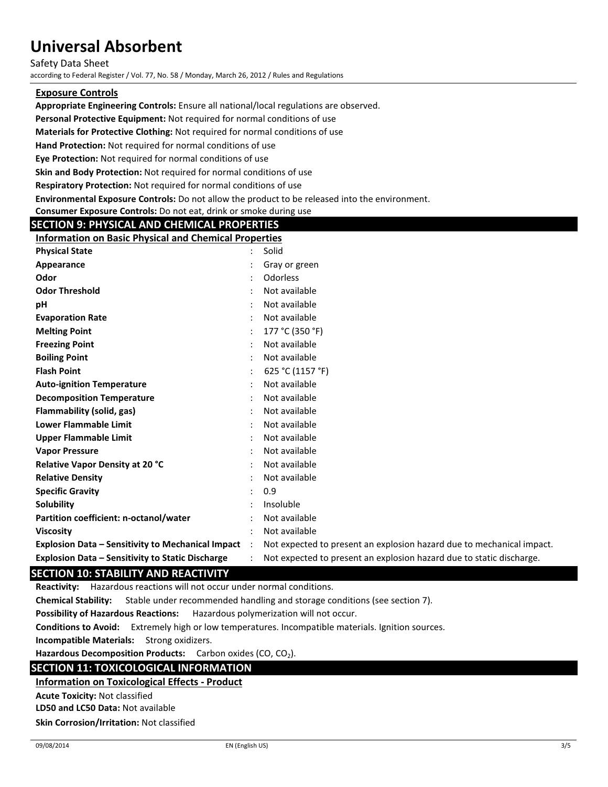Safety Data Sheet

according to Federal Register / Vol. 77, No. 58 / Monday, March 26, 2012 / Rules and Regulations

#### Exposure Controls

Appropriate Engineering Controls: Ensure all national/local regulations are observed.

Personal Protective Equipment: Not required for normal conditions of use

Materials for Protective Clothing: Not required for normal conditions of use

Hand Protection: Not required for normal conditions of use

Eye Protection: Not required for normal conditions of use

Skin and Body Protection: Not required for normal conditions of use

Respiratory Protection: Not required for normal conditions of use

Environmental Exposure Controls: Do not allow the product to be released into the environment.

#### Consumer Exposure Controls: Do not eat, drink or smoke during use

# SECTION 9: PHYSICAL AND CHEMICAL PROPERTIES

| <b>Information on Basic Physical and Chemical Properties</b> |                |                                                                       |  |  |
|--------------------------------------------------------------|----------------|-----------------------------------------------------------------------|--|--|
| <b>Physical State</b>                                        |                | Solid                                                                 |  |  |
| Appearance                                                   |                | Gray or green                                                         |  |  |
| Odor                                                         |                | Odorless                                                              |  |  |
| <b>Odor Threshold</b>                                        |                | Not available                                                         |  |  |
| рH                                                           |                | Not available                                                         |  |  |
| <b>Evaporation Rate</b>                                      |                | Not available                                                         |  |  |
| <b>Melting Point</b>                                         |                | 177 °C (350 °F)                                                       |  |  |
| <b>Freezing Point</b>                                        |                | Not available                                                         |  |  |
| <b>Boiling Point</b>                                         |                | Not available                                                         |  |  |
| <b>Flash Point</b>                                           |                | 625 °C (1157 °F)                                                      |  |  |
| <b>Auto-ignition Temperature</b>                             |                | Not available                                                         |  |  |
| <b>Decomposition Temperature</b>                             |                | Not available                                                         |  |  |
| Flammability (solid, gas)                                    |                | Not available                                                         |  |  |
| <b>Lower Flammable Limit</b>                                 |                | Not available                                                         |  |  |
| <b>Upper Flammable Limit</b>                                 |                | Not available                                                         |  |  |
| <b>Vapor Pressure</b>                                        |                | Not available                                                         |  |  |
| <b>Relative Vapor Density at 20 °C</b>                       |                | Not available                                                         |  |  |
| <b>Relative Density</b>                                      |                | Not available                                                         |  |  |
| <b>Specific Gravity</b>                                      |                | 0.9                                                                   |  |  |
| Solubility                                                   |                | Insoluble                                                             |  |  |
| Partition coefficient: n-octanol/water                       |                | Not available                                                         |  |  |
| <b>Viscosity</b>                                             |                | Not available                                                         |  |  |
| <b>Explosion Data – Sensitivity to Mechanical Impact</b>     | $\ddot{\cdot}$ | Not expected to present an explosion hazard due to mechanical impact. |  |  |
| <b>Explosion Data – Sensitivity to Static Discharge</b>      |                | Not expected to present an explosion hazard due to static discharge.  |  |  |

# SECTION 10: STABILITY AND REACTIVITY

Reactivity: Hazardous reactions will not occur under normal conditions.

Chemical Stability: Stable under recommended handling and storage conditions (see section 7).

Possibility of Hazardous Reactions: Hazardous polymerization will not occur.

Conditions to Avoid: Extremely high or low temperatures. Incompatible materials. Ignition sources.

Incompatible Materials: Strong oxidizers.

Hazardous Decomposition Products: Carbon oxides (CO,  $CO<sub>2</sub>$ ).

# SECTION 11: TOXICOLOGICAL INFORMATION

# Information on Toxicological Effects - Product

Acute Toxicity: Not classified

LD50 and LC50 Data: Not available

# Skin Corrosion/Irritation: Not classified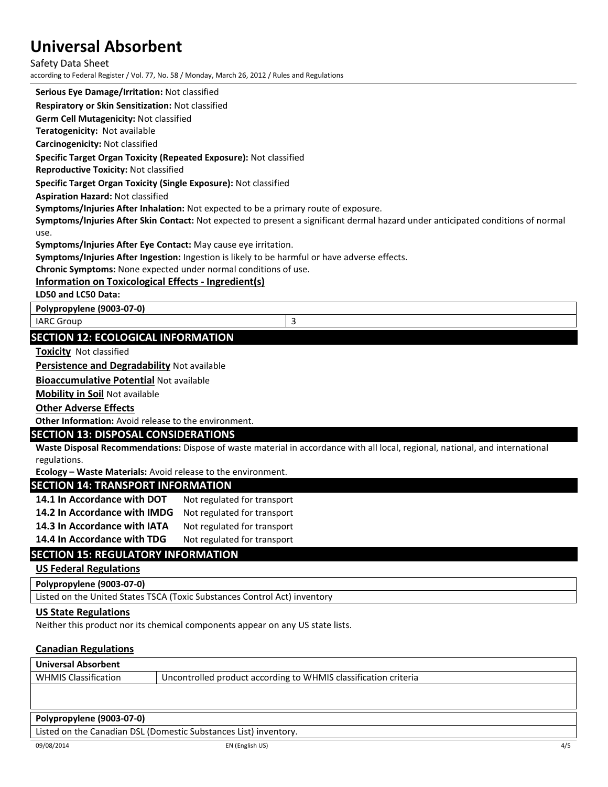Safety Data Sheet according to Federal Register / Vol. 77, No. 58 / Monday, March 26, 2012 / Rules and Regulations

# Serious Eye Damage/Irritation: Not classified

Respiratory or Skin Sensitization: Not classified

Germ Cell Mutagenicity: Not classified

Teratogenicity: Not available

Carcinogenicity: Not classified

Specific Target Organ Toxicity (Repeated Exposure): Not classified

Reproductive Toxicity: Not classified

Specific Target Organ Toxicity (Single Exposure): Not classified

Aspiration Hazard: Not classified

Symptoms/Injuries After Inhalation: Not expected to be a primary route of exposure.

Symptoms/Injuries After Skin Contact: Not expected to present a significant dermal hazard under anticipated conditions of normal use.

Symptoms/Injuries After Eye Contact: May cause eye irritation.

Symptoms/Injuries After Ingestion: Ingestion is likely to be harmful or have adverse effects.

Chronic Symptoms: None expected under normal conditions of use.

# Information on Toxicological Effects - Ingredient(s)

LD50 and LC50 Data:

Polypropylene (9003-07-0)

IARC Group 3

# SECTION 12: ECOLOGICAL INFORMATION

**Toxicity** Not classified

Persistence and Degradability Not available

Bioaccumulative Potential Not available

**Mobility in Soil Not available** 

Other Adverse Effects

**Other Information:** Avoid release to the environment.

# SECTION 13: DISPOSAL CONSIDERATIONS

Waste Disposal Recommendations: Dispose of waste material in accordance with all local, regional, national, and international regulations.

Ecology – Waste Materials: Avoid release to the environment.

# SECTION 14: TRANSPORT INFORMATION

| 14.1 In Accordance with DOT  | Not regulated for transport |
|------------------------------|-----------------------------|
| 14.2 In Accordance with IMDG | Not regulated for transport |
| 14.3 In Accordance with IATA | Not regulated for transport |
| 14.4 In Accordance with TDG  | Not regulated for transport |

# SECTION 15: REGULATORY INFORMATION

US Federal Regulations

# Polypropylene (9003-07-0)

Listed on the United States TSCA (Toxic Substances Control Act) inventory

#### US State Regulations

Neither this product nor its chemical components appear on any US state lists.

# Canadian Regulations

| <b>Universal Absorbent</b>                                       |                                                                 |     |  |
|------------------------------------------------------------------|-----------------------------------------------------------------|-----|--|
| <b>WHMIS Classification</b>                                      | Uncontrolled product according to WHMIS classification criteria |     |  |
|                                                                  |                                                                 |     |  |
|                                                                  |                                                                 |     |  |
| Polypropylene (9003-07-0)                                        |                                                                 |     |  |
| Listed on the Canadian DSL (Domestic Substances List) inventory. |                                                                 |     |  |
| 09/08/2014                                                       | EN (English US)                                                 | 4/5 |  |